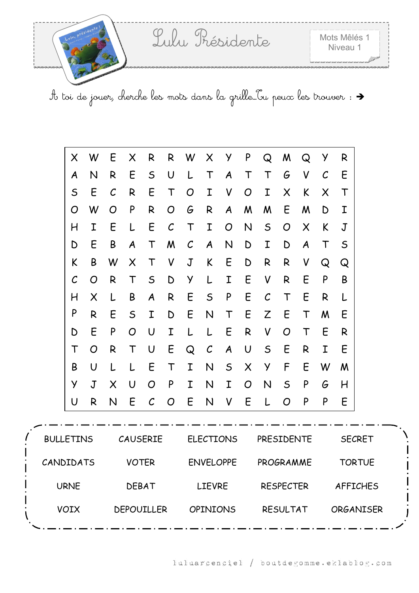

|                  | X            | W           | E                 | X            | R                 | R             | W              | X                | У                | P              | Q             | M                | Q                | у                 | R            |                  |
|------------------|--------------|-------------|-------------------|--------------|-------------------|---------------|----------------|------------------|------------------|----------------|---------------|------------------|------------------|-------------------|--------------|------------------|
|                  | A            | N           | R                 | E            | $\mathsf S$       | U             | L              | $\mathsf T$      | $\boldsymbol{A}$ | Τ              | Τ             | G                | V                | $\mathcal{C}_{0}$ | E            |                  |
|                  | $\mathsf S$  | E           | $\mathcal{C}_{0}$ | R            | E                 | $\mathsf T$   | O              | I                | V                | O              | I             | X                | K                | $\times$          | $\mathsf T$  |                  |
|                  | O            | W           | O                 | P            | R                 | O             | G              | R                | $\boldsymbol{A}$ | M              | M             | E                | M                | D                 | I            |                  |
|                  | H            | I           | E                 | L            | E                 | $\mathcal{C}$ | $\mathsf T$    | Ι                | O                | N              | $\mathsf S$   | O                | X                | K                 | $\mathsf J$  |                  |
|                  | D            | E           | B                 | A            | $\mathsf T$       | M             | $\mathcal{C}$  | $\boldsymbol{A}$ | N                | D              | Ι             | D                | $\boldsymbol{A}$ | $\mathsf T$       | $\mathsf S$  |                  |
|                  | K            | B           | W                 | $\times$     | Τ                 | V             | $\overline{J}$ | K                | E                | D              | R             | $\mathsf{R}$     | V                | Q                 | Q            |                  |
|                  | $\mathcal C$ | O           | R                 | Τ            | $\mathsf{S}$      | D             | Y              | L                | Ι                | E              | V             | R                | E                | P                 | B            |                  |
|                  | H            | X           | L                 | B            | A                 | R             | E              | $\mathsf S$      | P                | E              | $\mathcal{C}$ | Τ                | E                | $\mathsf{R}$      | L            |                  |
|                  | P            | R           | E                 | $\mathsf S$  | I                 | D             | E              | N                | Τ                | Ε              | Z             | E                | Τ                | M                 | E            |                  |
|                  | D            | E           | P                 | O            | U                 | Ι             | L              | L                | E                | R              | V             | O                | Τ                | E                 | $\mathsf{R}$ |                  |
|                  | $\mathsf T$  | O           | R                 | $\mathsf T$  | U                 | E             | Q              | $\mathcal{C}$    | A                | U              | $\mathsf S$   | E                | R                | I                 | E            |                  |
|                  | B            | U           | L                 | L            | E                 | $\mathsf T$   | I              | N                | $\mathsf S$      | $\times$       | Y             | F                | E                | W                 | M            |                  |
|                  | Y            | $\mathbf J$ | $\times$          | U            | O                 | P             | I              | N                | I                | $\overline{O}$ | N             | $\mathsf S$      | P                | G                 | H            |                  |
|                  | U            | R           | $\mathsf{N}$      | E            | $\mathcal{C}$     | O             | E              | $\mathsf{N}$     | V                | E              | L             | O                | P                | P                 | E            |                  |
|                  |              |             |                   |              |                   |               |                |                  |                  |                |               |                  |                  |                   |              |                  |
| <b>BULLETINS</b> |              |             |                   |              | CAUSERIE          |               |                |                  | <b>ELECTIONS</b> |                | PRESIDENTE    |                  |                  |                   |              | <b>SECRET</b>    |
| CANDIDATS        |              |             |                   | <b>VOTER</b> |                   |               |                |                  | <b>ENVELOPPE</b> |                | PROGRAMME     |                  |                  |                   |              | <b>TORTUE</b>    |
|                  | <b>URNE</b>  |             |                   | <b>DEBAT</b> |                   |               |                | <b>LIEVRE</b>    |                  |                |               | <b>RESPECTER</b> |                  |                   |              | <b>AFFICHES</b>  |
|                  | <b>VOIX</b>  |             |                   |              | <b>DEPOUILLER</b> |               |                | <b>OPINIONS</b>  |                  |                |               | <b>RESULTAT</b>  |                  |                   |              | <b>ORGANISER</b> |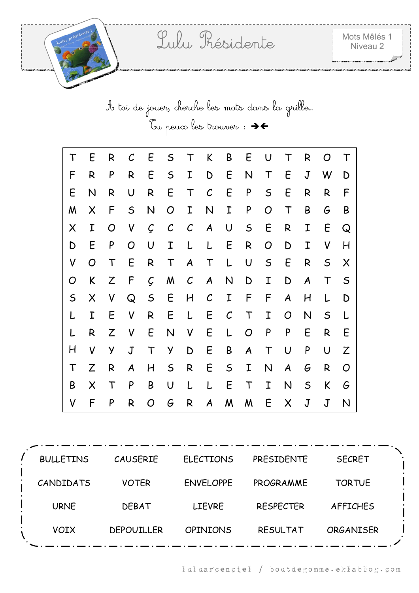A toi de jouer, cherche les mots dans la grille…  $\tilde{C}$ u peux les trouver :  $\rightarrow$ 

| Τ           | E | R            | $\mathcal C$ | E             | $\mathsf S$  | $\mathsf T$      | K                | B            | E                | U            | $\mathsf T$      | R                | O            | T           |
|-------------|---|--------------|--------------|---------------|--------------|------------------|------------------|--------------|------------------|--------------|------------------|------------------|--------------|-------------|
| F           | R | P            | R            | E             | $\mathsf{S}$ | I                | D                | E            | $\mathsf{N}$     | $\mathsf T$  | E                | $\mathsf J$      | W            | D           |
| E           | N | R            | U            | R             | E            | $\mathsf T$      | $\mathcal{C}$    | E            | P                | $\mathsf{S}$ | E                | R                | R            | F           |
| M           | X | F            | $\mathsf{S}$ | N             | O            | I                | $\mathsf{N}$     | I            | P                | O            | $\mathsf T$      | B                | G            | B           |
| X           | I | O            | V            | $\mathcal{C}$ | $\mathcal C$ | $\mathcal C$     | $\boldsymbol{A}$ | $\cup$       | $\mathsf{S}$     | E            | R                | Ι                | E            | Q           |
| D           | E | P            | O            | U             | I            | L                | L                | E            | R                | O            | D                | I                | V            | H           |
| V           | O | $\mathsf T$  | E            | R             | $\top$       | $\boldsymbol{A}$ | $\top$           | L            | $\cup$           | $\mathsf{S}$ | E                | R                | $\mathsf{S}$ | X           |
| O           | K | Z            | F            | Ç             | M            | $\mathcal C$     | $\boldsymbol{A}$ | $\mathsf{N}$ | D                | I            | D                | $\boldsymbol{A}$ | $\top$       | $\mathsf S$ |
| $\mathsf S$ | X | $\mathsf{V}$ | Q            | $\mathsf{S}$  | E            | H                | $\mathcal{C}$    | I            | $\mathsf F$      | F            | A                | H                | L            | D           |
|             | I | E            | V            | R             | E            | L                | E                | $\mathcal C$ | $\mathsf T$      | I            | O                | N                | $\mathsf S$  |             |
|             | R | Z            | V            | E             | N            | $\mathsf{V}$     | E                | L            | $\overline{O}$   | P            | P                | E                | R            | E           |
| H           | V | y            | $\mathsf J$  | $\mathsf T$   | Y            | D                | E                | B            | $\boldsymbol{A}$ | $\mathsf T$  | $\cup$           | P                | $\cup$       | Z           |
| $\mathsf T$ | Z | R            | A            | H             | $\mathsf{S}$ | R                | E                | $\mathsf{S}$ | I                | N            | $\boldsymbol{A}$ | G                | R            | O           |
| B           | X | $\mathsf T$  | P            | B             | U            | L                | L                | E            | $\mathsf T$      | $\mathbf I$  | N                | $\mathsf{S}$     | K            | G           |
| V           | F | P            | R            | O             | G            | R                | $\boldsymbol{A}$ | M            | M                | E            | X                | $\sf J$          | $\sf J$      | N           |

| <b>BULLETINS</b> | <b>CAUSERIE</b>   | <b>ELECTIONS</b> | <b>PRESIDENTE</b> | <b>SECRET</b>    |  |
|------------------|-------------------|------------------|-------------------|------------------|--|
| CANDIDATS        | <b>VOTER</b>      | <b>ENVELOPPE</b> | PROGRAMME         | <b>TORTUE</b>    |  |
| <b>URNE</b>      | <b>DEBAT</b>      | <b>LIEVRE</b>    | <b>RESPECTER</b>  | <b>AFFICHES</b>  |  |
| <b>VOIX</b>      | <b>DEPOUILLER</b> | <b>OPINIONS</b>  | <b>RESULTAT</b>   | <b>ORGANISER</b> |  |
|                  |                   |                  |                   |                  |  |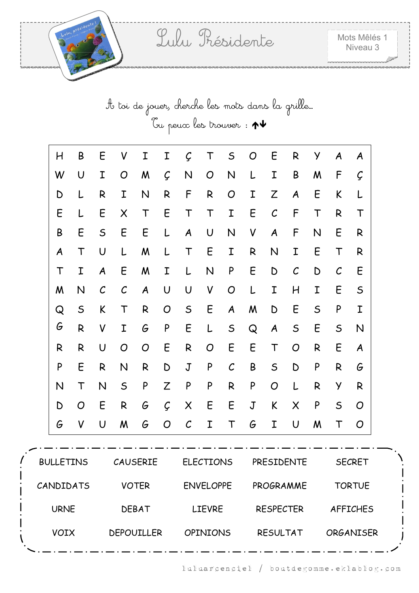| H | B            | Ε             | V              | Ι              | Ι              | $\mathcal{C}$ | T         | $\mathsf S$       | O           | E            | R                | У            | A             | A           |
|---|--------------|---------------|----------------|----------------|----------------|---------------|-----------|-------------------|-------------|--------------|------------------|--------------|---------------|-------------|
| W | U            | Ι             | O              | M              | Ç              | N             | O         | N                 | L           | Ι            | B                | M            | F             | Ç           |
| D | L            | R             | I              | $\mathsf{N}$   | R              | F             | R         | O                 | I           | Z            | $\boldsymbol{A}$ | E            | K             |             |
| Ε | L            | E             | X              | $\top$         | E              | T             | $\top$    | Ι                 | E           | $\mathcal C$ | F                | T            | R             | Т           |
| B | E            | $\mathsf S$   | E              | E              | L              | A             | $\bigcup$ | N                 | V           | A            | F                | N            | E             | R           |
| A | $\mathsf T$  | U             | L              | M              | L              | T             | E         | I                 | R           | N            | I                | E            | T             | R           |
| T | I            | A             | E              | M              | I              | L             | N         | P                 | E           | D            | $\mathcal{C}$    | D            | $\mathcal{C}$ | E           |
| M | N            | $\mathcal{C}$ | $\mathcal C$   | A              | U              | $\cup$        | V         | O                 | L           | Ι            | H                | I            | E             | $\mathsf S$ |
| Q | $\mathsf S$  | K             | T              | R              | $\overline{O}$ | $\mathsf S$   | E         | $\boldsymbol{A}$  | W           | D            | E                | $\mathsf S$  | P             | I           |
| G | R            | V             | I              | G              | P              | E             | L         | $\mathsf S$       | Q           | A            | $\mathsf S$      | E            | $\mathsf S$   | N           |
| R | $\mathsf{R}$ | U             | $\overline{O}$ | $\overline{O}$ | E              | R             | O         | E                 | E           | $\mathsf T$  | $\overline{O}$   | $\mathsf{R}$ | E             | A           |
| P | E            | R             | $\mathsf{N}$   | R              | D              | $\mathsf J$   | P         | $\mathcal{C}_{0}$ | $\sf B$     | $\sf S$      | $\mathsf D$      | P            | R             | G           |
| N | T            | N             | $\mathsf S$    | P              | Z              | P             | P         | R                 | P           | O            | L                | R            | Y             | R           |
| D | O            | E             | R              | G              | $\mathcal{G}$  | $\times$      | E         | E                 | $\mathsf J$ | K            | $\times$         | P            | $\mathsf S$   | O           |
| G | V            | U             | M              | G              | O              | $\mathcal{C}$ | I         | T                 | G           | I            | U                | M            | T             | O           |

| <b>BULLETINS</b> | <b>CAUSERIE</b>   | <b>ELECTIONS</b> | <b>PRESIDENTE</b> | <b>SECRET</b>    |  |
|------------------|-------------------|------------------|-------------------|------------------|--|
| CANDIDATS        | <b>VOTER</b>      | <b>ENVELOPPE</b> | PROGRAMME         | <b>TORTUE</b>    |  |
| <b>URNE</b>      | <b>DEBAT</b>      | <b>LIEVRE</b>    | <b>RESPECTER</b>  | <b>AFFICHES</b>  |  |
| <b>VOIX</b>      | <b>DEPOUILLER</b> | <b>OPINIONS</b>  | <b>RESULTAT</b>   | <b>ORGANISER</b> |  |
|                  |                   |                  |                   |                  |  |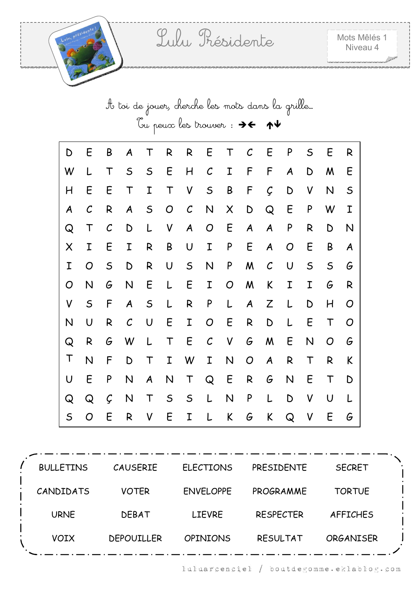| D           | E             | B             | $\boldsymbol{A}$ | $\top$           | R              | R                | E              | T            | $\mathcal C$     | E                | P              | $\mathsf S$ | E            | R           |
|-------------|---------------|---------------|------------------|------------------|----------------|------------------|----------------|--------------|------------------|------------------|----------------|-------------|--------------|-------------|
| W           | L             | $\mathsf T$   | $\mathsf{S}$     | $\mathsf{S}$     | E              | H                | $\mathcal{C}$  | I            | F                | F                | A              | D           | M            | E           |
| H           | E             | E             | $\top$           | I                | $\mathsf T$    | V                | $\mathsf S$    | B            | F                | Ç                | D              | V           | N            | $\mathsf S$ |
| A           | $\mathcal{C}$ | R             | $\boldsymbol{A}$ | $\mathsf{S}$     | $\overline{O}$ | $\mathcal{C}$    | $\mathsf{N}$   | X            | $\mathsf D$      | Q                | E              | P           | W            | I           |
| Q           | $\mathsf T$   | $\mathcal{C}$ | D                | L                | V              | $\boldsymbol{A}$ | $\overline{O}$ | E            | $\boldsymbol{A}$ | $\boldsymbol{A}$ | P              | R           | D            | N           |
| X           | I             | E             | I                | R                | B              | U                | I              | P            | E                | A                | $\overline{O}$ | E           | B            | A           |
| I           | O             | $\mathsf S$   | $\mathsf D$      | $\mathsf{R}$     | $\cup$         | $\mathsf{S}$     | $\mathsf{N}$   | P            | M                | $\mathcal{C}$    | U              | $\mathsf S$ | $\mathsf{S}$ | G           |
| O           | N             | G             | N                | E                | L              | E                | I              | O            | M                | K                | I              | I           | G            | R           |
| V           | $\mathsf S$   | F             | $\boldsymbol{A}$ | $\mathsf S$      | L              | $\mathsf{R}$     | P              | L            | $\boldsymbol{A}$ | Z                | L              | D           | H            | O           |
| N           | U             | $\mathsf{R}$  | $\mathcal{C}$    | $\cup$           | E              | I                | $\overline{O}$ | E            | R                | D                | L              | E           | $\top$       | O           |
| Q           | $\mathsf{R}$  | G             | W                | L                | $\mathsf T$    | E                | $\mathcal{C}$  | V            | G                | M                | E              | N           | O            | G           |
| T           | N             | F             | $\mathsf D$      | $\mathsf T$      | I              | W                | I              | $\mathsf{N}$ | $\overline{O}$   | A                | R              | T           | R            | K           |
| U           | E             | P             | N                | $\boldsymbol{A}$ | N              | $\top$           | Q              | E            | R                | G                | N              | E           | $\mathsf T$  | D           |
| Q           | Q             | Ç             | N                | $\mathsf T$      | $\mathsf S$    | $\mathsf{S}$     | L              | N            | ${\sf P}$        | L                | D              | V           | U            |             |
| $\mathsf S$ | O             | E             | $\mathsf{R}$     | V                | E              | I                | L              | K            | G                | K                | Q              | V           | E            | G           |

| <b>BULLETINS</b> | <b>CAUSERIE</b>   | <b>ELECTIONS</b> | PRESIDENTE       | <b>SECRET</b>    |  |
|------------------|-------------------|------------------|------------------|------------------|--|
| CANDIDATS        | <b>VOTER</b>      | <b>ENVELOPPE</b> | PROGRAMME        | <b>TORTUE</b>    |  |
| <b>URNE</b>      | <b>DEBAT</b>      | <b>LIEVRE</b>    | <b>RESPECTER</b> | <b>AFFICHES</b>  |  |
| <b>VOIX</b>      | <b>DEPOUILLER</b> | <b>OPINIONS</b>  | <b>RESULTAT</b>  | <b>ORGANISER</b> |  |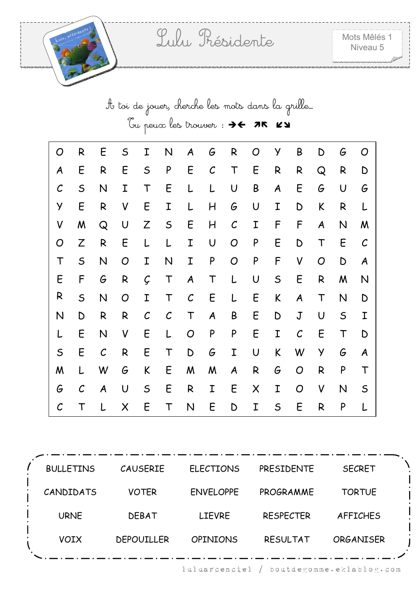| O             | R             | E                | $\mathsf S$    | Ι            | N             | A                | G                 | R             | O                         | У           | B             | D                | G            | O             |
|---------------|---------------|------------------|----------------|--------------|---------------|------------------|-------------------|---------------|---------------------------|-------------|---------------|------------------|--------------|---------------|
| A             | E             | R                | E              | $\mathsf S$  | P             | E                | $\mathcal{C}_{0}$ | T             | E                         | R           | R             | Q                | R            | D             |
| $\mathcal{C}$ | $\mathsf S$   | N                | I              | T            | E             | L                | L                 | U             | $\sf B$                   | A           | E             | G                | U            | G             |
| Y             | E             | R                | V              | E            | I             | L                | H                 | G             | U                         | I           | D             | K                | R            | L             |
| V             | M             | Q                | U              | Z            | $\mathsf S$   | E                | H                 | $\mathcal{C}$ | I                         | F           | F             | $\boldsymbol{A}$ | $\mathsf{N}$ | M             |
| O             | Z             | R                | E              | L            | L             | I                | $\cup$            | O             | ${\sf P}$                 | E           | D             | $\mathsf T$      | E            | $\mathcal{C}$ |
| $\mathsf T$   | $\mathsf S$   | N                | O              | I            | N             | I                | ${\sf P}$         | O             | ${\sf P}$                 | F           | V             | O                | D            | A             |
| E             | F             | G                | $\mathsf{R}$   | Ç            | $\mathsf T$   | $\boldsymbol{A}$ | T                 | L             | U                         | $\mathsf S$ | E             | $\mathsf{R}$     | M            | N             |
| R             | $\mathsf S$   | N                | $\overline{O}$ | I            | T             | $\mathcal{C}$    | E                 | L             | E                         | K           | A             | $\top$           | $\mathsf{N}$ | D             |
| N             | D             | R                | R              | $\mathcal C$ | $\mathcal{C}$ | $\mathsf T$      | A                 | B             | E                         | D           | $\mathbf J$   | $\mathsf U$      | $\mathsf S$  | I             |
| L             | E             | N                | V              | E            | L             | O                | ${\sf P}$         | P             | E                         | I           | $\mathcal{C}$ | E                | $\top$       | D             |
| $\mathsf S$   | E             | $\mathcal{C}$    | R              | E            | T             | D                | G                 | I             | U                         | K           | W             | Y                | G            | A             |
| M             | L             | W                | G              | K            | E             | M                | M                 | A             | ${\sf R}$                 | G           | O             | $\mathsf{R}$     | P            | T             |
| G             | $\mathcal{C}$ | $\boldsymbol{A}$ | $\bigcup$      | $\mathsf S$  | E             | ${\sf R}$        | I                 | E             | $\boldsymbol{\mathsf{X}}$ | I           | O             | V                | $\mathsf{N}$ | $\mathsf S$   |
| $\mathcal C$  | Т             |                  | X              | E            | T             | N                | E                 | D             | I                         | $\mathsf S$ | E             | R                | P            |               |

| <b>BULLETINS</b> | <b>CAUSERIE</b>   | <b>ELECTIONS</b> | <b>PRESIDENTE</b> | <b>SECRET</b>    |  |
|------------------|-------------------|------------------|-------------------|------------------|--|
| CANDIDATS        | <b>VOTER</b>      | <b>ENVELOPPE</b> | PROGRAMME         | <b>TORTUE</b>    |  |
| <b>URNE</b>      | <b>DEBAT</b>      | <b>LIEVRE</b>    | <b>RESPECTER</b>  | AFFICHES         |  |
| <b>VOIX</b>      | <b>DEPOUILLER</b> | <b>OPINIONS</b>  | <b>RESULTAT</b>   | <b>ORGANISER</b> |  |
|                  |                   |                  |                   |                  |  |